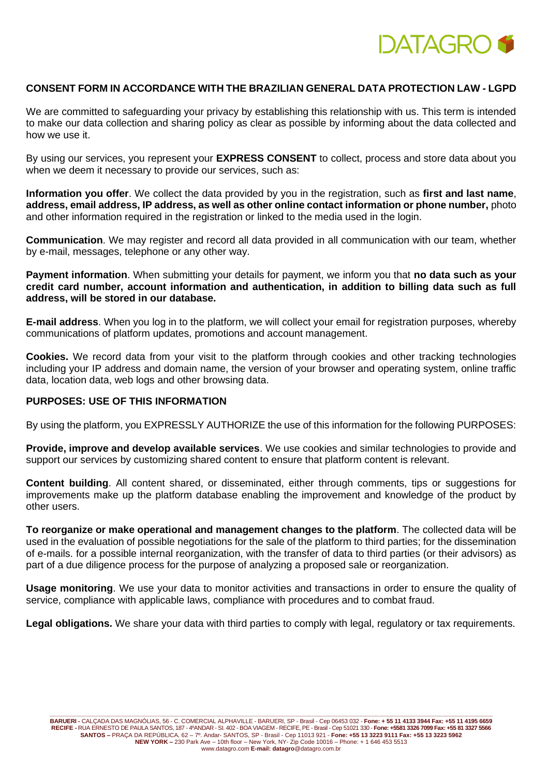

## **CONSENT FORM IN ACCORDANCE WITH THE BRAZILIAN GENERAL DATA PROTECTION LAW - LGPD**

We are committed to safeguarding your privacy by establishing this relationship with us. This term is intended to make our data collection and sharing policy as clear as possible by informing about the data collected and how we use it.

By using our services, you represent your **EXPRESS CONSENT** to collect, process and store data about you when we deem it necessary to provide our services, such as:

**Information you offer**. We collect the data provided by you in the registration, such as **first and last name**, **address, email address, IP address, as well as other online contact information or phone number,** photo and other information required in the registration or linked to the media used in the login.

**Communication**. We may register and record all data provided in all communication with our team, whether by e-mail, messages, telephone or any other way.

**Payment information**. When submitting your details for payment, we inform you that **no data such as your credit card number, account information and authentication, in addition to billing data such as full address, will be stored in our database.**

**E-mail address**. When you log in to the platform, we will collect your email for registration purposes, whereby communications of platform updates, promotions and account management.

**Cookies.** We record data from your visit to the platform through cookies and other tracking technologies including your IP address and domain name, the version of your browser and operating system, online traffic data, location data, web logs and other browsing data.

#### **PURPOSES: USE OF THIS INFORMATION**

By using the platform, you EXPRESSLY AUTHORIZE the use of this information for the following PURPOSES:

**Provide, improve and develop available services**. We use cookies and similar technologies to provide and support our services by customizing shared content to ensure that platform content is relevant.

**Content building**. All content shared, or disseminated, either through comments, tips or suggestions for improvements make up the platform database enabling the improvement and knowledge of the product by other users.

**To reorganize or make operational and management changes to the platform**. The collected data will be used in the evaluation of possible negotiations for the sale of the platform to third parties; for the dissemination of e-mails. for a possible internal reorganization, with the transfer of data to third parties (or their advisors) as part of a due diligence process for the purpose of analyzing a proposed sale or reorganization.

**Usage monitoring**. We use your data to monitor activities and transactions in order to ensure the quality of service, compliance with applicable laws, compliance with procedures and to combat fraud.

**Legal obligations.** We share your data with third parties to comply with legal, regulatory or tax requirements.

**\_\_\_\_\_\_\_\_\_\_\_\_\_\_\_\_\_\_\_\_\_\_\_\_\_\_\_\_\_\_\_\_\_\_\_\_\_\_\_\_\_\_\_\_\_\_\_\_\_\_\_\_\_\_\_\_\_\_\_\_\_\_\_\_\_\_\_\_\_\_\_\_\_\_\_\_\_\_\_\_\_\_\_\_\_\_\_\_\_\_\_\_\_\_\_\_\_\_\_\_\_\_\_\_\_\_\_\_\_\_\_\_\_\_\_\_\_\_\_\_\_\_\_\_\_\_\_\_\_\_\_\_\_**